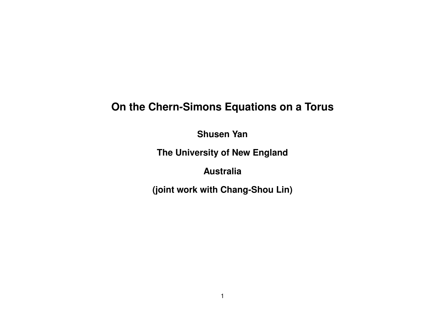# **On the Chern-Simons Equations on a Torus**

**Shusen Yan**

**The University of New England**

**Australia**

**(joint work with Chang-Shou Lin)**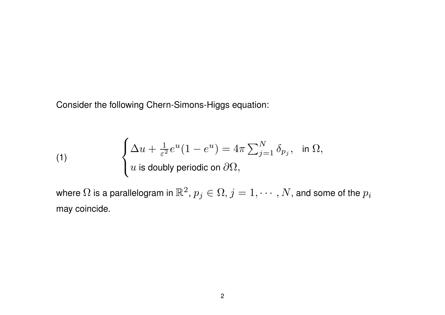Consider the following Chern-Simons-Higgs equation:

(1) 
$$
\begin{cases} \Delta u + \frac{1}{\varepsilon^2} e^u (1 - e^u) = 4\pi \sum_{j=1}^N \delta_{p_j}, & \text{in } \Omega, \\ u \text{ is doubly periodic on } \partial \Omega, \end{cases}
$$

where  $\Omega$  is a parallelogram in  $\mathbb{R}^2$ ,  $p_j\in\Omega$ ,  $j=1,\cdots,N,$  and some of the  $p_i$ may coincide.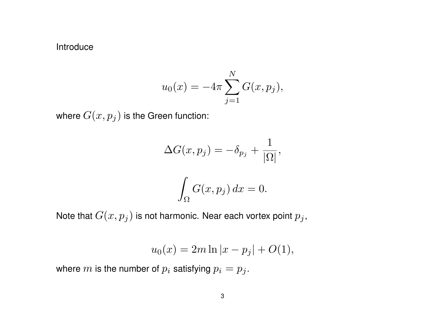#### Introduce

$$
u_0(x) = -4\pi \sum_{j=1}^{N} G(x, p_j),
$$

where  $G(x,p_j)$  is the Green function:

$$
\Delta G(x, p_j) = -\delta_{p_j} + \frac{1}{|\Omega|},
$$

$$
\int_{\Omega} G(x, p_j) \, dx = 0.
$$

Note that  $G(x,p_j)$  is not harmonic. Near each vortex point  $p_j,$ 

$$
u_0(x) = 2m \ln|x - p_j| + O(1),
$$

where  $m$  is the number of  $p_i$  satisfying  $p_i = p_j$ .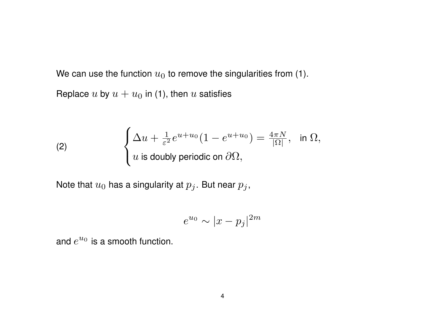We can use the function  $u_0$  to remove the singularities from (1). Replace  $u$  by  $u + u_0$  in (1), then  $u$  satisfies

(2) 
$$
\begin{cases} \Delta u + \frac{1}{\varepsilon^2} e^{u+u_0} (1 - e^{u+u_0}) = \frac{4\pi N}{|\Omega|}, & \text{in } \Omega, \\ u \text{ is doubly periodic on } \partial\Omega, \end{cases}
$$

Note that  $u_0$  has a singularity at  $p_j$ . But near  $p_j$ ,

$$
e^{u_0} \sim |x - p_j|^{2m}
$$

and  $e^{u_0}$  is a smooth function.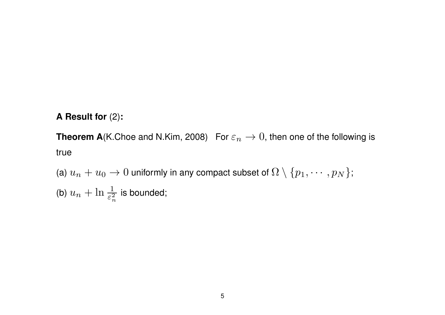## **A Result for** (2)**:**

**Theorem A**(K.Choe and N.Kim, 2008) For  $\varepsilon_n \to 0$ , then one of the following is true

(a)  $u_n + u_0 \to 0$  uniformly in any compact subset of  $\Omega \setminus \{p_1, \cdots, p_N\}$ ; (b)  $u_n + \ln \frac{1}{\varepsilon_n^2}$ *n* is bounded;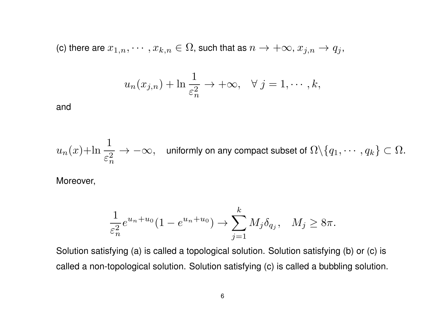(c) there are  $x_{1,n}, \dots, x_{k,n} \in \Omega$ , such that as  $n \to +\infty$ ,  $x_{j,n} \to q_j$ ,

$$
u_n(x_{j,n}) + \ln \frac{1}{\varepsilon_n^2} \to +\infty, \quad \forall j = 1, \cdots, k,
$$

and

$$
u_n(x) + \ln \frac{1}{\varepsilon_n^2} \to -\infty, \quad \text{uniformly on any compact subset of } \Omega \backslash \{q_1, \cdots, q_k\} \subset \Omega.
$$

Moreover,

$$
\frac{1}{\varepsilon_n^2}e^{u_n+u_0}(1-e^{u_n+u_0}) \to \sum_{j=1}^k M_j \delta_{q_j}, \quad M_j \ge 8\pi.
$$

Solution satisfying (a) is called a topological solution. Solution satisfying (b) or (c) is called a non-topological solution. Solution satisfying (c) is called a bubbling solution.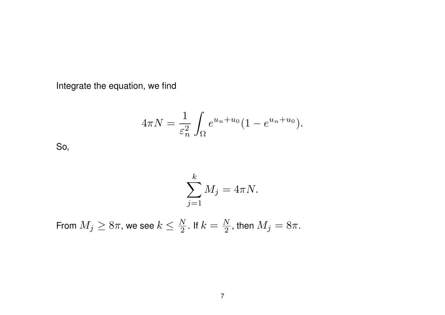Integrate the equation, we find

$$
4\pi N = \frac{1}{\varepsilon_n^2} \int_{\Omega} e^{u_n + u_0} (1 - e^{u_n + u_0}).
$$

So,

$$
\sum_{j=1}^{k} M_j = 4\pi N.
$$

From  $M_j \geq 8\pi$ , we see  $k \leq \frac{N}{2}$  $\frac{N}{2}$ . If  $k=\frac{N}{2}$  $\frac{N}{2}$ , then  $M_j=8\pi.$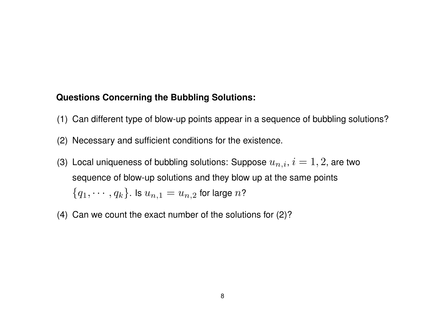#### **Questions Concerning the Bubbling Solutions:**

- (1) Can different type of blow-up points appear in a sequence of bubbling solutions?
- (2) Necessary and sufficient conditions for the existence.
- (3) Local uniqueness of bubbling solutions: Suppose  $u_{n,i}$ ,  $i=1,2$ , are two sequence of blow-up solutions and they blow up at the same points  ${q_1, \cdots, q_k}$ . Is  $u_{n,1} = u_{n,2}$  for large  $n$ ?
- (4) Can we count the exact number of the solutions for (2)?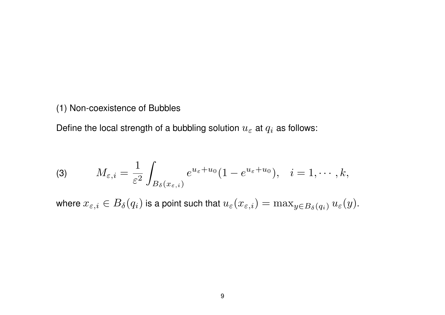#### (1) Non-coexistence of Bubbles

Define the local strength of a bubbling solution  $u_\varepsilon$  at  $q_i$  as follows:

(3) 
$$
M_{\varepsilon,i} = \frac{1}{\varepsilon^2} \int_{B_\delta(x_{\varepsilon,i})} e^{u_\varepsilon + u_0} (1 - e^{u_\varepsilon + u_0}), \quad i = 1, \cdots, k,
$$

where  $x_{\varepsilon,i}\in B_\delta(q_i)$  is a point such that  $u_\varepsilon(x_{\varepsilon,i})=\max_{y\in B_\delta(q_i)}u_\varepsilon(y).$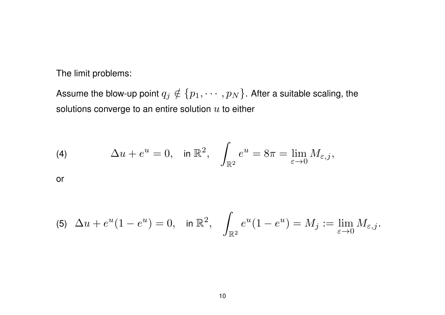The limit problems:

Assume the blow-up point  $q_j \notin \{p_1, \cdots, p_N\}$ . After a suitable scaling, the solutions converge to an entire solution *u* to either

(4) 
$$
\Delta u + e^u = 0, \text{ in } \mathbb{R}^2, \quad \int_{\mathbb{R}^2} e^u = 8\pi = \lim_{\varepsilon \to 0} M_{\varepsilon,j},
$$

or

$$
\text{(5)} \ \ \Delta u + e^u(1-e^u) = 0, \quad \text{in } \mathbb{R}^2, \quad \int_{\mathbb{R}^2} e^u(1-e^u) = M_j := \lim_{\varepsilon \to 0} M_{\varepsilon,j}.
$$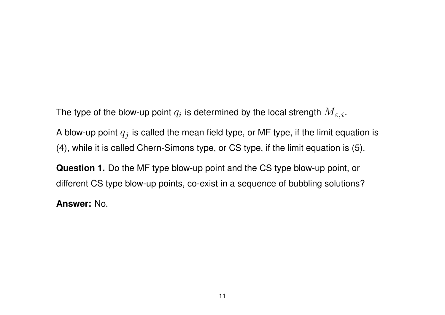The type of the blow-up point  $q_i$  is determined by the local strength  $M_{\varepsilon,i}.$ 

A blow-up point *q<sup>j</sup>* is called the mean field type, or MF type, if the limit equation is (4), while it is called Chern-Simons type, or CS type, if the limit equation is (5).

**Question 1.** Do the MF type blow-up point and the CS type blow-up point, or different CS type blow-up points, co-exist in a sequence of bubbling solutions?

**Answer:** No.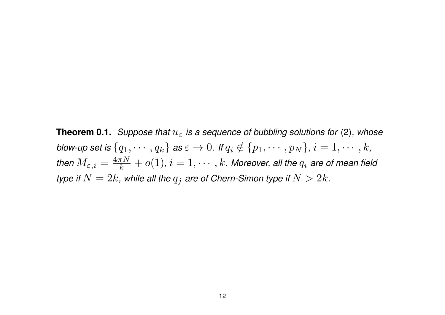**Theorem 0.1.** *Suppose that u<sup>ε</sup> is a sequence of bubbling solutions for* (2)*, whose* blow-up set is  $\{q_1,\cdots,q_k\}$  as  $\varepsilon\to 0$ . If  $q_i\notin\{p_1,\cdots,p_N\}$ ,  $i=1,\cdots,k$ , *then*  $M_{\varepsilon,i} = \frac{4\pi N}{k}$  $\frac{\pi N}{k} + o(1)$ ,  $i = 1, \cdots, k$ *. Moreover, all the*  $q_i$  *are of mean field type if*  $N=2k$ , while all the  $q_j$  are of Chern-Simon type if  $N>2k$ .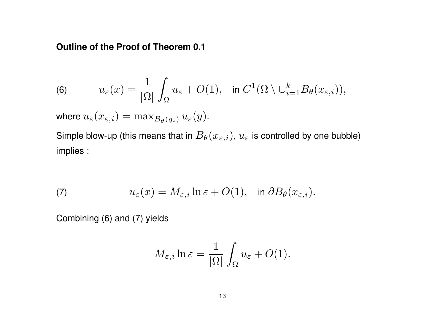#### **Outline of the Proof of Theorem 0.1**

(6) 
$$
u_{\varepsilon}(x) = \frac{1}{|\Omega|} \int_{\Omega} u_{\varepsilon} + O(1), \text{ in } C^{1}(\Omega \setminus \cup_{i=1}^{k} B_{\theta}(x_{\varepsilon,i})),
$$

 $\mathsf{where} \; u_\varepsilon(x_{\varepsilon,i}) = \max_{B_\theta(q_i)} u_\varepsilon(y).$ 

Simple blow-up (this means that in  $B_{\theta}(x_{\varepsilon, i}),$   $u_{\varepsilon}$  is controlled by one bubble) implies :

(7) 
$$
u_{\varepsilon}(x) = M_{\varepsilon,i} \ln \varepsilon + O(1), \quad \text{in } \partial B_{\theta}(x_{\varepsilon,i}).
$$

Combining (6) and (7) yields

$$
M_{\varepsilon,i}\ln \varepsilon = \frac{1}{|\Omega|}\int_{\Omega} u_{\varepsilon} + O(1).
$$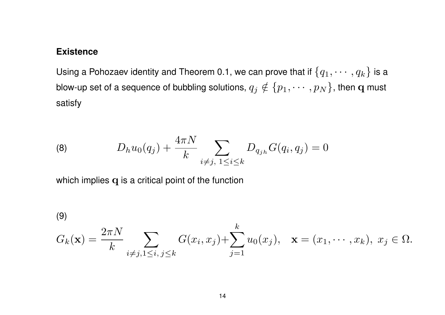#### **Existence**

Using a Pohozaev identity and Theorem 0.1, we can prove that if  $\{q_1,\cdots,q_k\}$  is a blow-up set of a sequence of bubbling solutions,  $q_j \notin \{p_1, \cdots, p_N\}$ , then  ${\bf q}$  must satisfy

(8) 
$$
D_h u_0(q_j) + \frac{4\pi N}{k} \sum_{i \neq j, 1 \leq i \leq k} D_{q_{jh}} G(q_i, q_j) = 0
$$

which implies **q** is a critical point of the function

(9)

$$
G_k(\mathbf{x}) = \frac{2\pi N}{k} \sum_{i \neq j, 1 \leq i, j \leq k} G(x_i, x_j) + \sum_{j=1}^k u_0(x_j), \quad \mathbf{x} = (x_1, \dots, x_k), \ x_j \in \Omega.
$$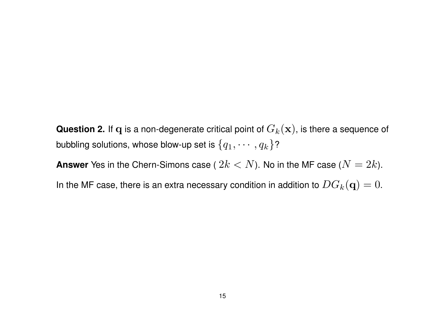**Question 2.** If **q** is a non-degenerate critical point of *Gk*(**x**), is there a sequence of bubbling solutions, whose blow-up set is  $\{q_1,\cdots,q_k\}$ ?

**Answer** Yes in the Chern-Simons case (  $2k < N$ ). No in the MF case ( $N = 2k$ ).

In the MF case, there is an extra necessary condition in addition to  $DG_k(\mathbf{q})=0$ .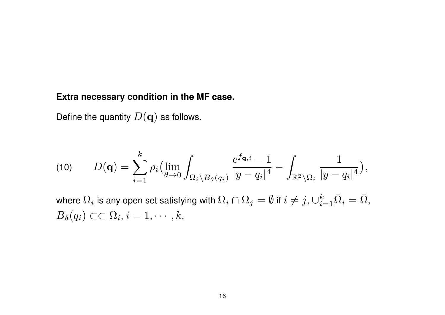## **Extra necessary condition in the MF case.**

Define the quantity  $D(\mathbf{q})$  as follows.

$$
(10) \qquad D(\mathbf{q}) = \sum_{i=1}^k \rho_i \left( \lim_{\theta \to 0} \int_{\Omega_i \setminus B_{\theta}(q_i)} \frac{e^{f_{\mathbf{q},i}} - 1}{|y - q_i|^4} - \int_{\mathbb{R}^2 \setminus \Omega_i} \frac{1}{|y - q_i|^4} \right),
$$

where  $\Omega_i$  is any open set satisfying with  $\Omega_i\cap\Omega_j=\emptyset$  if  $i\neq j$  ,  $\cup_{i=1}^k\bar{\Omega}_i=\bar{\Omega},$  $B_{\delta}(q_i) \subset\subset \Omega_i, i = 1,\cdots,k,$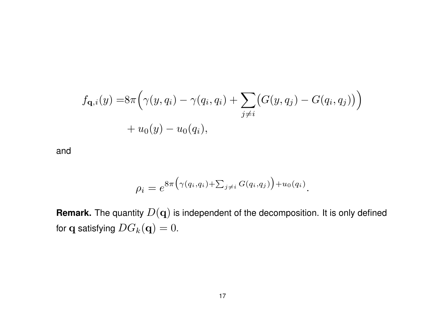$$
f_{\mathbf{q},i}(y) = 8\pi \Big( \gamma(y, q_i) - \gamma(q_i, q_i) + \sum_{j \neq i} \big( G(y, q_j) - G(q_i, q_j) \big) \Big) + u_0(y) - u_0(q_i),
$$

and

$$
\rho_i = e^{8\pi \big(\gamma(q_i,q_i) + \sum_{j \neq i} G(q_i,q_j)\big) + u_0(q_i)}.
$$

**Remark.** The quantity *D*(**q**) is independent of the decomposition. It is only defined for **q** satisfying  $DG_k(\mathbf{q}) = 0$ .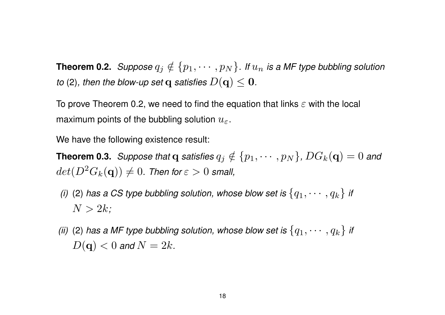**Theorem 0.2.** *Suppose*  $q_j \notin \{p_1, \cdots, p_N\}$ *. If*  $u_n$  *is a MF type bubbling solution to* (2), then the blow-up set **q** satisfies  $D(\mathbf{q}) \leq \mathbf{0}$ .

To prove Theorem 0.2, we need to find the equation that links *ε* with the local maximum points of the bubbling solution *uε*.

We have the following existence result:

**Theorem 0.3.** *Suppose that* **q** *satisfies*  $q_j \notin \{p_1, \cdots, p_N\}$ ,  $DG_k(\mathbf{q}) = 0$  and  $det(D^2 G_k({\bf q})) \neq 0.$  Then for  $\varepsilon > 0$  small,

*(i)* (2) has a CS type bubbling solution, whose blow set is  $\{q_1, \cdots, q_k\}$  if  $N > 2k$ *;* 

*(ii)* (2) has a MF type bubbling solution, whose blow set is  $\{q_1, \cdots, q_k\}$  if  $D(\mathbf{q}) < 0$  and  $N = 2k$ .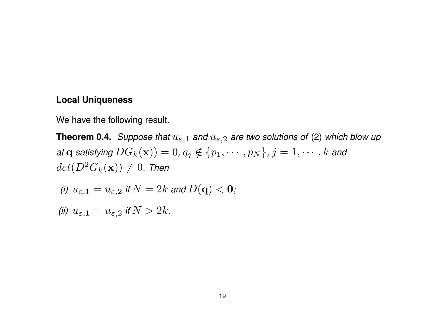#### **Local Uniqueness**

We have the following result.

**Theorem 0.4.** Suppose that  $u_{\varepsilon,1}$  and  $u_{\varepsilon,2}$  are two solutions of (2) which blow up at q satisfying  $DG_k(\mathbf{x}) = 0, q_j \notin \{p_1, \cdots, p_N\}, j = 1, \cdots, k$  and  $det(D^2 G_k({\bf x})) \neq 0$ . Then

(i) 
$$
u_{\varepsilon,1} = u_{\varepsilon,2}
$$
 if  $N = 2k$  and  $D(\mathbf{q}) < \mathbf{0}$ ;

*(ii)*  $u_{\varepsilon,1} = u_{\varepsilon,2}$  *if*  $N > 2k$ *.*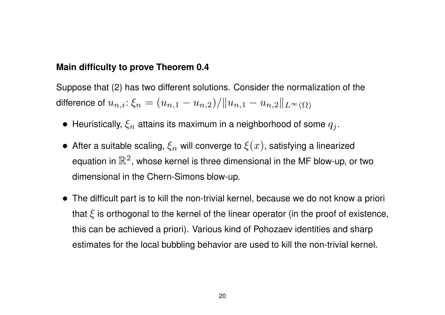#### **Main difficulty to prove Theorem 0.4**

Suppose that (2) has two different solutions. Consider the normalization of the  $\textsf{difference of}\ u_{n,i}\!\!: \! \xi_n = (u_{n,1} - u_{n,2})/\|u_{n,1} - u_{n,2}\|_{L^\infty(\Omega)}$ 

- Heuristically,  $\xi_n$  attains its maximum in a neighborhood of some  $q_i$ .
- $\bullet$  After a suitable scaling,  $\xi_n$  will converge to  $\xi(x)$ , satisfying a linearized equation in  $\mathbb{R}^2$ , whose kernel is three dimensional in the MF blow-up, or two dimensional in the Chern-Simons blow-up.
- *•* The difficult part is to kill the non-trivial kernel, because we do not know a priori that  $\xi$  is orthogonal to the kernel of the linear operator (in the proof of existence, this can be achieved a priori). Various kind of Pohozaev identities and sharp estimates for the local bubbling behavior are used to kill the non-trivial kernel.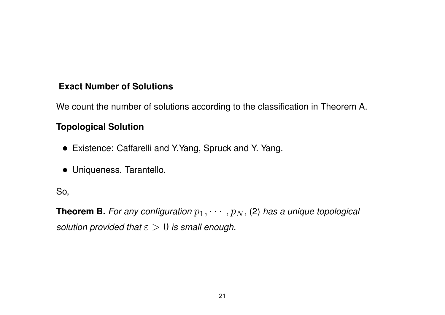# **Exact Number of Solutions**

We count the number of solutions according to the classification in Theorem A.

# **Topological Solution**

- *•* Existence: Caffarelli and Y.Yang, Spruck and Y. Yang.
- *•* Uniqueness. Tarantello.

## So,

**Theorem B.** For any configuration  $p_1, \cdots, p_N$ , (2) has a unique topological *solution provided that ε >* 0 *is small enough.*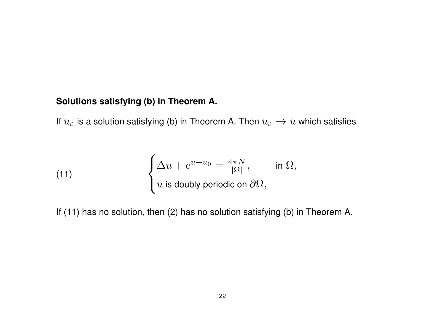## **Solutions satisfying (b) in Theorem A.**

If  $u_{\varepsilon}$  is a solution satisfying (b) in Theorem A. Then  $u_{\varepsilon} \to u$  which satisfies

(11) 
$$
\begin{cases} \Delta u + e^{u+u_0} = \frac{4\pi N}{|\Omega|}, & \text{in } \Omega, \\ u \text{ is doubly periodic on } \partial\Omega, \end{cases}
$$

If (11) has no solution, then (2) has no solution satisfying (b) in Theorem A.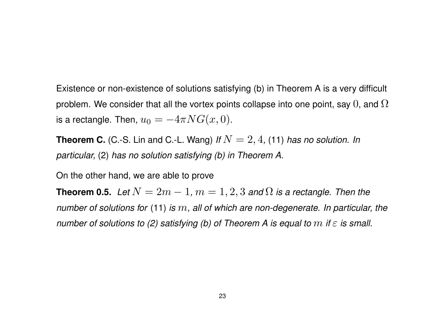Existence or non-existence of solutions satisfying (b) in Theorem A is a very difficult problem. We consider that all the vortex points collapse into one point, say  $0$ , and  $\Omega$ is a rectangle. Then,  $u_0 = -4\pi NG(x, 0)$ .

**Theorem C.** (C.-S. Lin and C.-L. Wang) *If*  $N = 2, 4$ , (11) *has no solution. In particular,* (2) *has no solution satisfying (b) in Theorem A.*

On the other hand, we are able to prove

**Theorem 0.5.** Let  $N = 2m - 1$ ,  $m = 1, 2, 3$  and  $\Omega$  is a rectangle. Then the *number of solutions for* (11) *is m, all of which are non-degenerate. In particular, the number of solutions to (2) satisfying (b) of Theorem A is equal to m if ε is small.*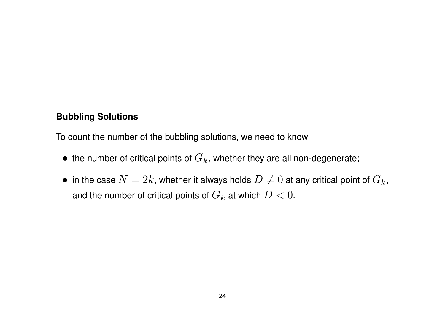#### **Bubbling Solutions**

To count the number of the bubbling solutions, we need to know

- the number of critical points of  $G_k$ , whether they are all non-degenerate;
- in the case  $N = 2k$ , whether it always holds  $D \neq 0$  at any critical point of  $G_k$ , and the number of critical points of  $G_k$  at which  $D < 0.$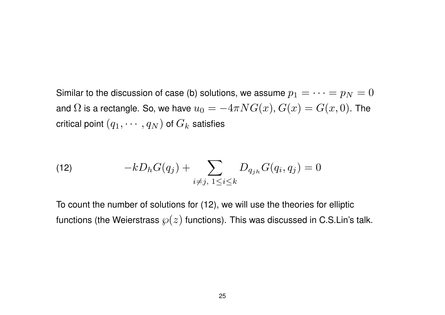Similar to the discussion of case (b) solutions, we assume  $p_1 = \cdots = p_N = 0$ and  $\Omega$  is a rectangle. So, we have  $u_0 = -4\pi NG(x)$ ,  $G(x) = G(x, 0)$ . The critical point  $(q_1, \cdots, q_N)$  of  $G_k$  satisfies

(12) 
$$
-kD_h G(q_j) + \sum_{i \neq j, 1 \leq i \leq k} D_{q_{jh}} G(q_i, q_j) = 0
$$

To count the number of solutions for (12), we will use the theories for elliptic functions (the Weierstrass  $\wp(z)$  functions). This was discussed in C.S.Lin's talk.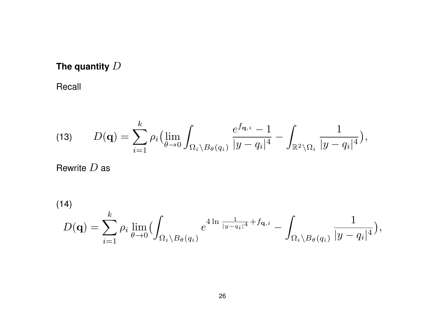# **The quantity** *D*

Recall

(13) 
$$
D(\mathbf{q}) = \sum_{i=1}^{k} \rho_i \left( \lim_{\theta \to 0} \int_{\Omega_i \setminus B_{\theta}(q_i)} \frac{e^{f_{\mathbf{q},i}} - 1}{|y - q_i|^4} - \int_{\mathbb{R}^2 \setminus \Omega_i} \frac{1}{|y - q_i|^4} \right),
$$

Rewrite *D* as

(14)  

$$
D(\mathbf{q}) = \sum_{i=1}^k \rho_i \lim_{\theta \to 0} \Bigl( \int_{\Omega_i \setminus B_{\theta}(q_i)} e^{4 \ln \frac{1}{|y - q_i|^4} + f_{\mathbf{q}, i}} - \int_{\Omega_i \setminus B_{\theta}(q_i)} \frac{1}{|y - q_i|^4} \Bigr),
$$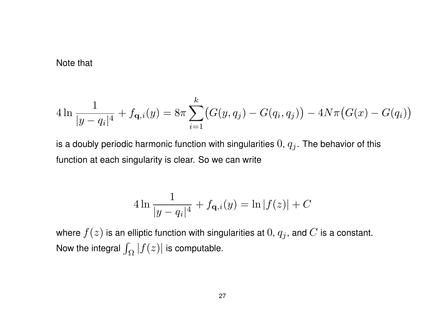Note that

$$
4\ln\frac{1}{|y-q_i|^4} + f_{\mathbf{q},i}(y) = 8\pi \sum_{i=1}^k \bigl(G(y,q_j) - G(q_i,q_j)\bigr) - 4N\pi\bigl(G(x) - G(q_i)\bigr)
$$

is a doubly periodic harmonic function with singularities  $0, q_j$ . The behavior of this function at each singularity is clear. So we can write

$$
4\ln\frac{1}{|y-q_i|^4} + f_{\mathbf{q},i}(y) = \ln|f(z)| + C
$$

where  $f(z)$  is an elliptic function with singularities at  $0, q_j$ , and  $C$  is a constant. Now the integral  $\int_\Omega |f(z)|$  is computable.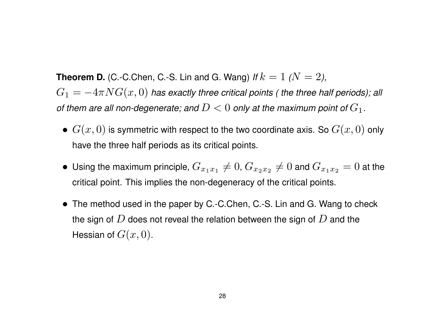**Theorem D.** (C.-C.Chen, C.-S. Lin and G. Wang) *If*  $k = 1$   $(N = 2)$ ,  $G_1 = -4\pi NG(x,0)$  has exactly three critical points ( the three half periods); all *of them are all non-degenerate; and*  $D < 0$  *only at the maximum point of*  $G_1$ .

- $G(x, 0)$  is symmetric with respect to the two coordinate axis. So  $G(x, 0)$  only have the three half periods as its critical points.
- $\bullet$  Using the maximum principle,  $G_{x_1x_1}\neq 0$ ,  $G_{x_2x_2}\neq 0$  and  $G_{x_1x_2}=0$  at the critical point. This implies the non-degeneracy of the critical points.
- *•* The method used in the paper by C.-C.Chen, C.-S. Lin and G. Wang to check the sign of *D* does not reveal the relation between the sign of *D* and the Hessian of  $G(x, 0)$ .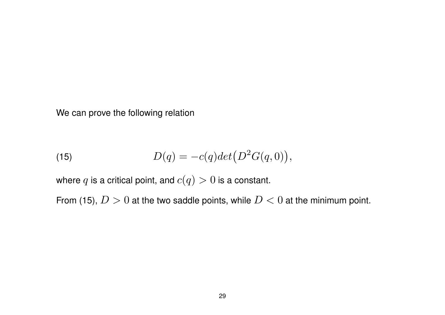We can prove the following relation

(15) 
$$
D(q) = -c(q)det(D^2G(q,0)),
$$

where  $q$  is a critical point, and  $c(q) > 0$  is a constant.

From (15),  $D > 0$  at the two saddle points, while  $D < 0$  at the minimum point.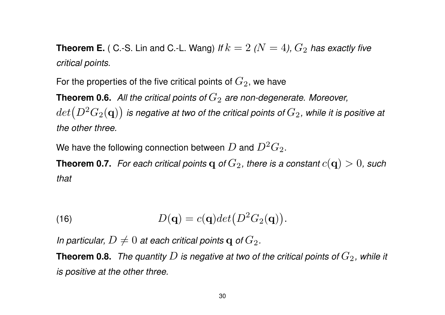**Theorem E.** ( C.-S. Lin and C.-L. Wang) *If*  $k=2$  *(* $N=4$ *),*  $G_2$  *has exactly five critical points.*

For the properties of the five critical points of  $G_2$ , we have

**Theorem 0.6.** All the critical points of  $G_2$  are non-degenerate. Moreover,  $det\bigl(D^2G_2({\bf q})\bigr)$  is negative at two of the critical points of  $G_2$ , while it is positive at *the other three.*

We have the following connection between  $D$  and  $D^2 G_2.$ 

**Theorem 0.7.** For each critical points  $q$  of  $G_2$ , there is a constant  $c(\mathbf{q}) > 0$ , such *that*

(16) 
$$
D(\mathbf{q}) = c(\mathbf{q})det(D^2G_2(\mathbf{q})).
$$

*In particular,*  $D \neq 0$  *at each critical points q of*  $G_2$ *.* 

**Theorem 0.8.** *The quantity*  $D$  *is negative at two of the critical points of*  $G_2$ , while it *is positive at the other three.*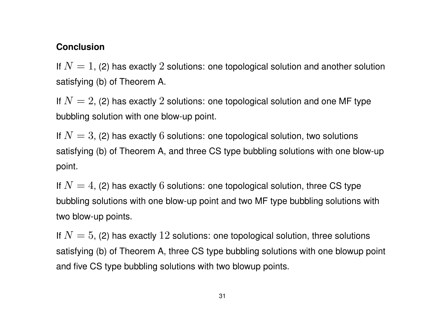#### **Conclusion**

If  $N=1$ , (2) has exactly 2 solutions: one topological solution and another solution satisfying (b) of Theorem A.

If  $N=2$ , (2) has exactly 2 solutions: one topological solution and one MF type bubbling solution with one blow-up point.

If  $N=3$ , (2) has exactly 6 solutions: one topological solution, two solutions satisfying (b) of Theorem A, and three CS type bubbling solutions with one blow-up point.

If  $N=4$ , (2) has exactly 6 solutions: one topological solution, three CS type bubbling solutions with one blow-up point and two MF type bubbling solutions with two blow-up points.

If  $N=5$ , (2) has exactly 12 solutions: one topological solution, three solutions satisfying (b) of Theorem A, three CS type bubbling solutions with one blowup point and five CS type bubbling solutions with two blowup points.